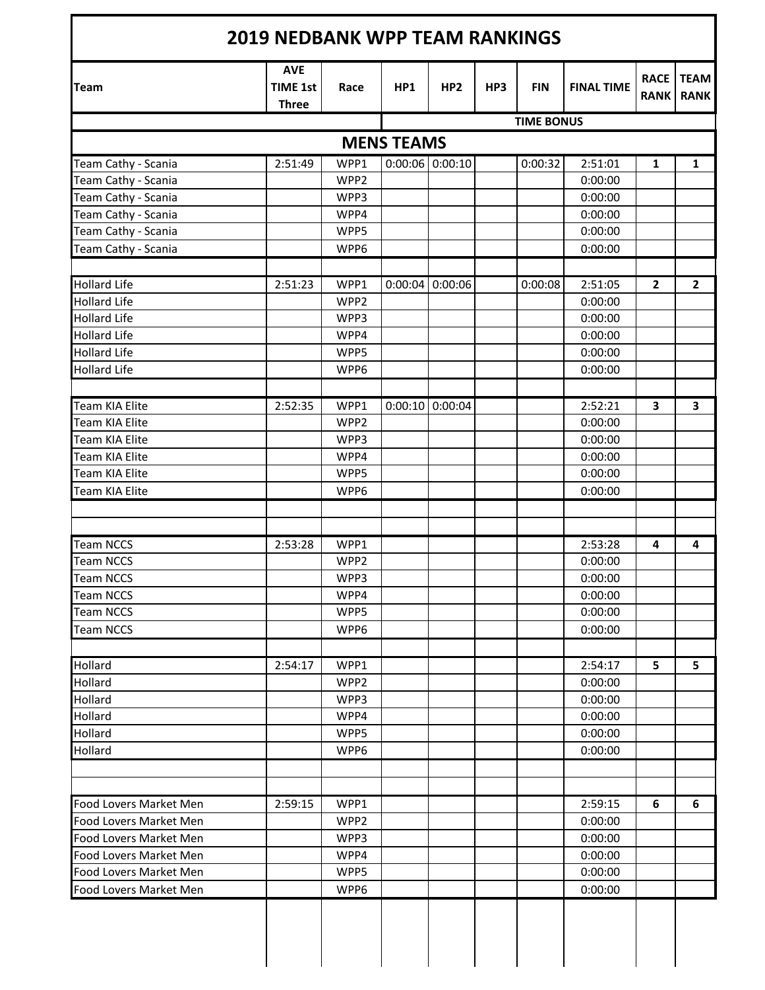| <b>Team</b>            | <b>AVE</b><br><b>TIME 1st</b><br><b>Three</b> | Race             | HP <sub>1</sub>   | HP <sub>2</sub>   | HP3 | <b>FIN</b>        | <b>FINAL TIME</b> | <b>RACE</b><br><b>RANK</b> | <b>TEAM</b><br><b>RANK</b> |
|------------------------|-----------------------------------------------|------------------|-------------------|-------------------|-----|-------------------|-------------------|----------------------------|----------------------------|
|                        |                                               |                  |                   |                   |     | <b>TIME BONUS</b> |                   |                            |                            |
|                        |                                               |                  | <b>MENS TEAMS</b> |                   |     |                   |                   |                            |                            |
| Team Cathy - Scania    | 2:51:49                                       | WPP1             |                   | $0:00:06$ 0:00:10 |     | 0:00:32           | 2:51:01           | $\mathbf{1}$               | 1                          |
| Team Cathy - Scania    |                                               | WPP2             |                   |                   |     |                   | 0:00:00           |                            |                            |
| Team Cathy - Scania    |                                               | WPP3             |                   |                   |     |                   | 0:00:00           |                            |                            |
| Team Cathy - Scania    |                                               | WPP4             |                   |                   |     |                   | 0:00:00           |                            |                            |
| Team Cathy - Scania    |                                               | WPP5             |                   |                   |     |                   | 0:00:00           |                            |                            |
| Team Cathy - Scania    |                                               | WPP6             |                   |                   |     |                   | 0:00:00           |                            |                            |
|                        |                                               |                  |                   |                   |     |                   |                   |                            |                            |
| <b>Hollard Life</b>    | 2:51:23                                       | WPP1             |                   | $0:00:04$ 0:00:06 |     | 0:00:08           | 2:51:05           | $\overline{2}$             | $\overline{2}$             |
| <b>Hollard Life</b>    |                                               | WPP2             |                   |                   |     |                   | 0:00:00           |                            |                            |
| <b>Hollard Life</b>    |                                               | WPP3             |                   |                   |     |                   | 0:00:00           |                            |                            |
| <b>Hollard Life</b>    |                                               | WPP4             |                   |                   |     |                   | 0:00:00           |                            |                            |
| <b>Hollard Life</b>    |                                               | WPP5             |                   |                   |     |                   | 0:00:00           |                            |                            |
| <b>Hollard Life</b>    |                                               | WPP6             |                   |                   |     |                   | 0:00:00           |                            |                            |
|                        |                                               |                  |                   |                   |     |                   |                   |                            |                            |
| Team KIA Elite         | 2:52:35                                       | WPP1             |                   | $0:00:10$ 0:00:04 |     |                   | 2:52:21           | 3                          | 3                          |
| <b>Team KIA Elite</b>  |                                               | WPP2             |                   |                   |     |                   | 0:00:00           |                            |                            |
| <b>Team KIA Elite</b>  |                                               | WPP3             |                   |                   |     |                   | 0:00:00           |                            |                            |
| <b>Team KIA Elite</b>  |                                               | WPP4             |                   |                   |     |                   | 0:00:00           |                            |                            |
| <b>Team KIA Elite</b>  |                                               | WPP5             |                   |                   |     |                   | 0:00:00           |                            |                            |
| Team KIA Elite         |                                               | WPP6             |                   |                   |     |                   | 0:00:00           |                            |                            |
|                        |                                               |                  |                   |                   |     |                   |                   |                            |                            |
| <b>Team NCCS</b>       | 2:53:28                                       | WPP1             |                   |                   |     |                   | 2:53:28           | 4                          | 4                          |
| <b>Team NCCS</b>       |                                               | WPP <sub>2</sub> |                   |                   |     |                   | 0:00:00           |                            |                            |
| Team NCCS              |                                               | WPP3             |                   |                   |     |                   | 0:00:00           |                            |                            |
| <b>Team NCCS</b>       |                                               | WPP4             |                   |                   |     |                   | 0:00:00           |                            |                            |
| <b>Team NCCS</b>       |                                               | WPP5             |                   |                   |     |                   | 0:00:00           |                            |                            |
| <b>Team NCCS</b>       |                                               | WPP6             |                   |                   |     |                   | 0:00:00           |                            |                            |
|                        |                                               |                  |                   |                   |     |                   |                   |                            |                            |
| Hollard                | 2:54:17                                       | WPP1             |                   |                   |     |                   | 2:54:17           | 5                          | 5                          |
| Hollard                |                                               | WPP2             |                   |                   |     |                   | 0:00:00           |                            |                            |
| Hollard                |                                               | WPP3             |                   |                   |     |                   | 0:00:00           |                            |                            |
| Hollard                |                                               | WPP4             |                   |                   |     |                   | 0:00:00           |                            |                            |
| Hollard                |                                               | WPP5             |                   |                   |     |                   | 0:00:00           |                            |                            |
| Hollard                |                                               | WPP6             |                   |                   |     |                   | 0:00:00           |                            |                            |
|                        |                                               |                  |                   |                   |     |                   |                   |                            |                            |
| Food Lovers Market Men | 2:59:15                                       | WPP1             |                   |                   |     |                   | 2:59:15           | 6                          | 6                          |
| Food Lovers Market Men |                                               | WPP <sub>2</sub> |                   |                   |     |                   | 0:00:00           |                            |                            |
| Food Lovers Market Men |                                               | WPP3             |                   |                   |     |                   | 0:00:00           |                            |                            |
| Food Lovers Market Men |                                               | WPP4             |                   |                   |     |                   | 0:00:00           |                            |                            |
| Food Lovers Market Men |                                               | WPP5             |                   |                   |     |                   | 0:00:00           |                            |                            |
| Food Lovers Market Men |                                               | WPP6             |                   |                   |     |                   | 0:00:00           |                            |                            |
|                        |                                               |                  |                   |                   |     |                   |                   |                            |                            |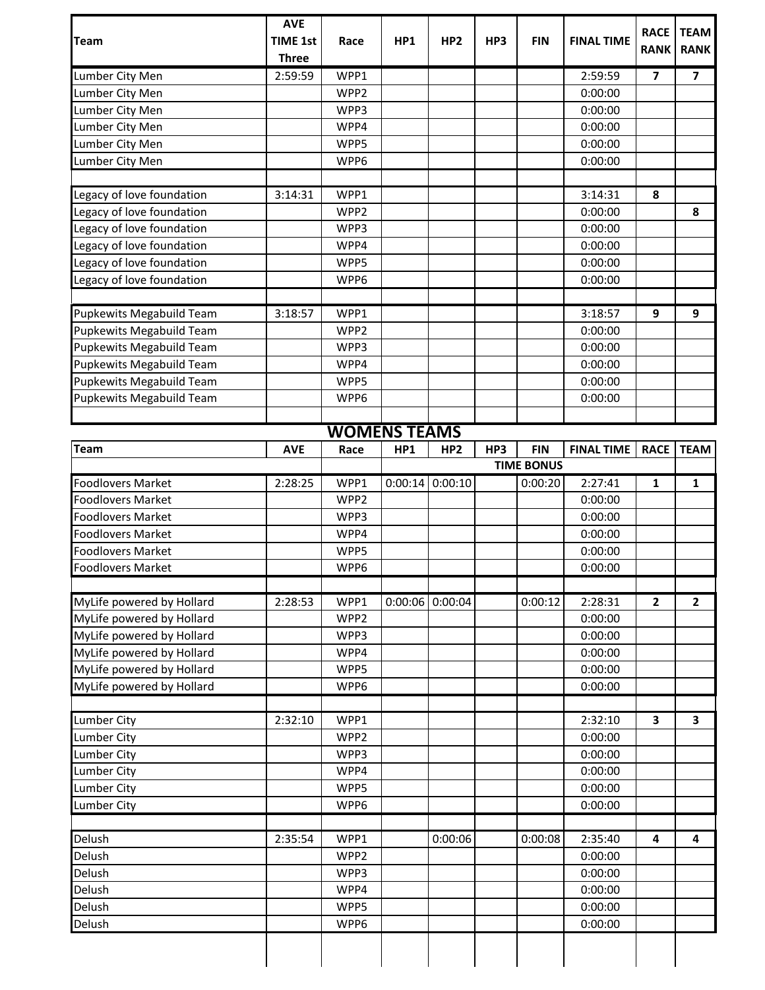| <b>Team</b>               | <b>AVE</b><br><b>TIME 1st</b><br><b>Three</b> | Race                | HP1             | HP <sub>2</sub> | HP3 | <b>FIN</b>        | <b>FINAL TIME</b>  | <b>RACE</b><br><b>RANK</b> | <b>TEAM</b><br><b>RANK</b> |
|---------------------------|-----------------------------------------------|---------------------|-----------------|-----------------|-----|-------------------|--------------------|----------------------------|----------------------------|
| Lumber City Men           | 2:59:59                                       | WPP1                |                 |                 |     |                   | 2:59:59            | 7                          | 7                          |
| Lumber City Men           |                                               | WPP <sub>2</sub>    |                 |                 |     |                   | 0:00:00            |                            |                            |
| Lumber City Men           |                                               | WPP3                |                 |                 |     |                   | 0:00:00            |                            |                            |
| Lumber City Men           |                                               | WPP4                |                 |                 |     |                   | 0:00:00            |                            |                            |
| Lumber City Men           |                                               | WPP5                |                 |                 |     |                   | 0:00:00            |                            |                            |
| Lumber City Men           |                                               | WPP6                |                 |                 |     |                   | 0:00:00            |                            |                            |
|                           |                                               |                     |                 |                 |     |                   |                    |                            |                            |
| Legacy of love foundation | 3:14:31                                       | WPP1                |                 |                 |     |                   | 3:14:31            | 8                          |                            |
| Legacy of love foundation |                                               | WPP <sub>2</sub>    |                 |                 |     |                   | 0:00:00            |                            | 8                          |
| Legacy of love foundation |                                               | WPP3                |                 |                 |     |                   | 0:00:00            |                            |                            |
| Legacy of love foundation |                                               | WPP4                |                 |                 |     |                   | 0:00:00            |                            |                            |
| Legacy of love foundation |                                               | WPP5                |                 |                 |     |                   | 0:00:00            |                            |                            |
| Legacy of love foundation |                                               | WPP6                |                 |                 |     |                   | 0:00:00            |                            |                            |
| Pupkewits Megabuild Team  | 3:18:57                                       | WPP1                |                 |                 |     |                   | 3:18:57            | 9                          | 9                          |
| Pupkewits Megabuild Team  |                                               | WPP <sub>2</sub>    |                 |                 |     |                   | 0:00:00            |                            |                            |
| Pupkewits Megabuild Team  |                                               | WPP3                |                 |                 |     |                   | 0:00:00            |                            |                            |
| Pupkewits Megabuild Team  |                                               | WPP4                |                 |                 |     |                   | 0:00:00            |                            |                            |
| Pupkewits Megabuild Team  |                                               | WPP5                |                 |                 |     |                   | 0:00:00            |                            |                            |
| Pupkewits Megabuild Team  |                                               | WPP6                |                 |                 |     |                   | 0:00:00            |                            |                            |
|                           |                                               |                     |                 |                 |     |                   |                    |                            |                            |
|                           |                                               | <b>WOMENS TEAMS</b> |                 |                 |     |                   |                    |                            |                            |
| <b>Team</b>               | <b>AVE</b>                                    | Race                | HP <sub>1</sub> | HP <sub>2</sub> | HP3 | <b>FIN</b>        | <b>FINAL TIME</b>  | <b>RACE</b>                | <b>TEAM</b>                |
|                           |                                               |                     |                 |                 |     | <b>TIME BONUS</b> |                    |                            |                            |
| <b>Foodlovers Market</b>  | 2:28:25                                       | WPP1                | 0:00:14         | 0:00:10         |     | 0:00:20           | 2:27:41            | 1                          | 1                          |
| <b>Foodlovers Market</b>  |                                               | WPP2                |                 |                 |     |                   | 0:00:00            |                            |                            |
| <b>Foodlovers Market</b>  |                                               | WPP3                |                 |                 |     |                   | 0:00:00            |                            |                            |
| <b>Foodlovers Market</b>  |                                               | WPP4                |                 |                 |     |                   | 0:00:00            |                            |                            |
| <b>Foodlovers Market</b>  |                                               | WPP5                |                 |                 |     |                   | 0:00:00            |                            |                            |
| <b>Foodlovers Market</b>  |                                               | WPP6                |                 |                 |     |                   | 0:00:00            |                            |                            |
| MyLife powered by Hollard | 2:28:53                                       | WPP1                | 0:00:06         | 0:00:04         |     | 0:00:12           | 2:28:31            | 2                          | $\overline{2}$             |
| MyLife powered by Hollard |                                               | WPP2                |                 |                 |     |                   | 0:00:00            |                            |                            |
| MyLife powered by Hollard |                                               | WPP3                |                 |                 |     |                   | 0:00:00            |                            |                            |
| MyLife powered by Hollard |                                               | WPP4                |                 |                 |     |                   | 0:00:00            |                            |                            |
| MyLife powered by Hollard |                                               | WPP5                |                 |                 |     |                   | 0:00:00            |                            |                            |
| MyLife powered by Hollard |                                               | WPP6                |                 |                 |     |                   | 0:00:00            |                            |                            |
|                           |                                               |                     |                 |                 |     |                   |                    |                            |                            |
| <b>Lumber City</b>        | 2:32:10                                       | WPP1                |                 |                 |     |                   | 2:32:10            | 3                          | 3                          |
| <b>Lumber City</b>        |                                               | WPP2                |                 |                 |     |                   | 0:00:00            |                            |                            |
| Lumber City               |                                               | WPP3                |                 |                 |     |                   | 0:00:00            |                            |                            |
| <b>Lumber City</b>        |                                               | WPP4                |                 |                 |     |                   | 0:00:00            |                            |                            |
| <b>Lumber City</b>        |                                               | WPP5                |                 |                 |     |                   | 0:00:00            |                            |                            |
| <b>Lumber City</b>        |                                               | WPP6                |                 |                 |     |                   | 0:00:00            |                            |                            |
|                           |                                               |                     |                 |                 |     |                   |                    |                            |                            |
| Delush<br>Delush          | 2:35:54                                       | WPP1<br>WPP2        |                 | 0:00:06         |     | 0:00:08           | 2:35:40<br>0:00:00 | 4                          | 4                          |
| Delush                    |                                               | WPP3                |                 |                 |     |                   | 0:00:00            |                            |                            |
| Delush                    |                                               | WPP4                |                 |                 |     |                   | 0:00:00            |                            |                            |
| Delush                    |                                               | WPP5                |                 |                 |     |                   | 0:00:00            |                            |                            |
| Delush                    |                                               | WPP6                |                 |                 |     |                   | 0:00:00            |                            |                            |
|                           |                                               |                     |                 |                 |     |                   |                    |                            |                            |
|                           |                                               |                     |                 |                 |     |                   |                    |                            |                            |